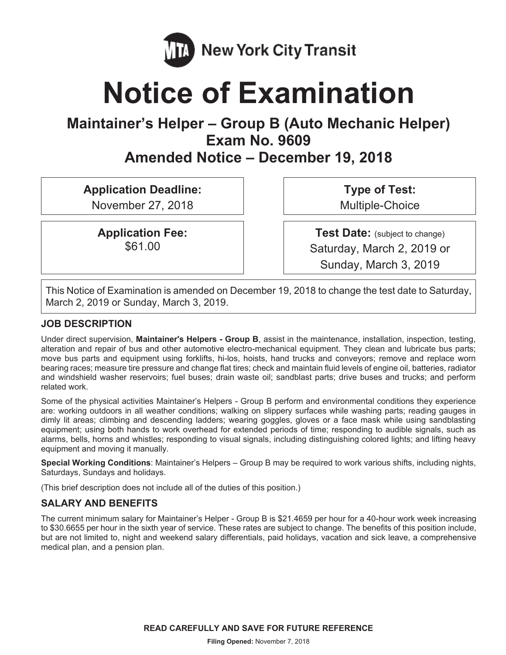

# **Notice of Examination**

# **Maintainer's Helper – Group B (Auto Mechanic Helper) Exam No. 9609**

**Amended Notice – December 19, 2018** 

**Application Deadline:** 

November 27, 2018

**Application Fee:**  \$61.00

**Type of Test:**  Multiple-Choice

**Test Date:** (subject to change) Saturday, March 2, 2019 or Sunday, March 3, 2019

This Notice of Examination is amended on December 19, 2018 to change the test date to Saturday, March 2, 2019 or Sunday, March 3, 2019.

# **JOB DESCRIPTION**

Under direct supervision, **Maintainer's Helpers - Group B**, assist in the maintenance, installation, inspection, testing, alteration and repair of bus and other automotive electro-mechanical equipment. They clean and lubricate bus parts; move bus parts and equipment using forklifts, hi-los, hoists, hand trucks and conveyors; remove and replace worn bearing races; measure tire pressure and change flat tires; check and maintain fluid levels of engine oil, batteries, radiator and windshield washer reservoirs; fuel buses; drain waste oil; sandblast parts; drive buses and trucks; and perform related work.

Some of the physical activities Maintainer's Helpers - Group B perform and environmental conditions they experience are: working outdoors in all weather conditions; walking on slippery surfaces while washing parts; reading gauges in dimly lit areas; climbing and descending ladders; wearing goggles, gloves or a face mask while using sandblasting equipment; using both hands to work overhead for extended periods of time; responding to audible signals, such as alarms, bells, horns and whistles; responding to visual signals, including distinguishing colored lights; and lifting heavy equipment and moving it manually.

**Special Working Conditions**: Maintainer's Helpers – Group B may be required to work various shifts, including nights, Saturdays, Sundays and holidays.

(This brief description does not include all of the duties of this position.)

# **SALARY AND BENEFITS**

The current minimum salary for Maintainer's Helper - Group B is \$21.4659 per hour for a 40-hour work week increasing to \$30.6655 per hour in the sixth year of service. These rates are subject to change. The benefits of this position include, but are not limited to, night and weekend salary differentials, paid holidays, vacation and sick leave, a comprehensive medical plan, and a pension plan.

**READ CAREFULLY AND SAVE FOR FUTURE REFERENCE**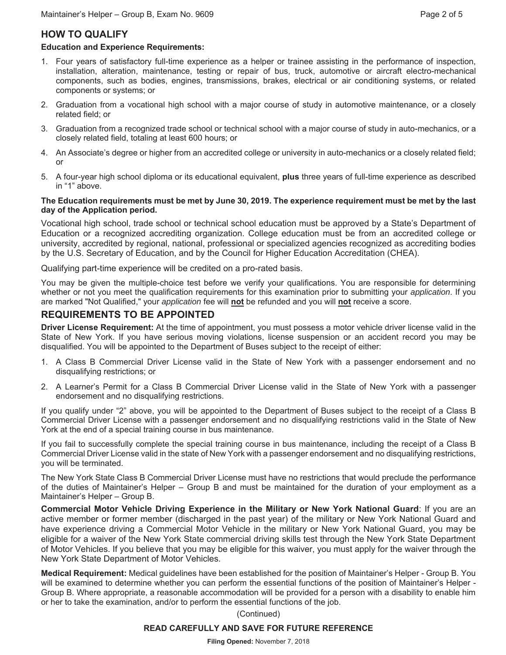# **HOW TO QUALIFY**

#### **Education and Experience Requirements:**

- 1. Four years of satisfactory full-time experience as a helper or trainee assisting in the performance of inspection, installation, alteration, maintenance, testing or repair of bus, truck, automotive or aircraft electro-mechanical components, such as bodies, engines, transmissions, brakes, electrical or air conditioning systems, or related components or systems; or
- 2. Graduation from a vocational high school with a major course of study in automotive maintenance, or a closely related field; or
- 3. Graduation from a recognized trade school or technical school with a major course of study in auto-mechanics, or a closely related field, totaling at least 600 hours; or
- 4. An Associate's degree or higher from an accredited college or university in auto-mechanics or a closely related field; or
- 5. A four-year high school diploma or its educational equivalent, **plus** three years of full-time experience as described in "1" above.

#### **The Education requirements must be met by June 30, 2019. The experience requirement must be met by the last day of the Application period.**

Vocational high school, trade school or technical school education must be approved by a State's Department of Education or a recognized accrediting organization. College education must be from an accredited college or university, accredited by regional, national, professional or specialized agencies recognized as accrediting bodies by the U.S. Secretary of Education, and by the Council for Higher Education Accreditation (CHEA).

Qualifying part-time experience will be credited on a pro-rated basis.

You may be given the multiple-choice test before we verify your qualifications. You are responsible for determining whether or not you meet the qualification requirements for this examination prior to submitting your *application*. If you are marked "Not Qualified," your *application* fee will **not** be refunded and you will **not** receive a score.

# **REQUIREMENTS TO BE APPOINTED**

**Driver License Requirement:** At the time of appointment, you must possess a motor vehicle driver license valid in the State of New York. If you have serious moving violations, license suspension or an accident record you may be disqualified. You will be appointed to the Department of Buses subject to the receipt of either:

- 1. A Class B Commercial Driver License valid in the State of New York with a passenger endorsement and no disqualifying restrictions; or
- 2. A Learner's Permit for a Class B Commercial Driver License valid in the State of New York with a passenger endorsement and no disqualifying restrictions.

If you qualify under "2" above, you will be appointed to the Department of Buses subject to the receipt of a Class B Commercial Driver License with a passenger endorsement and no disqualifying restrictions valid in the State of New York at the end of a special training course in bus maintenance.

If you fail to successfully complete the special training course in bus maintenance, including the receipt of a Class B Commercial Driver License valid in the state of New York with a passenger endorsement and no disqualifying restrictions, you will be terminated.

The New York State Class B Commercial Driver License must have no restrictions that would preclude the performance of the duties of Maintainer's Helper – Group B and must be maintained for the duration of your employment as a Maintainer's Helper – Group B.

**Commercial Motor Vehicle Driving Experience in the Military or New York National Guard**: If you are an active member or former member (discharged in the past year) of the military or New York National Guard and have experience driving a Commercial Motor Vehicle in the military or New York National Guard, you may be eligible for a waiver of the New York State commercial driving skills test through the New York State Department of Motor Vehicles. If you believe that you may be eligible for this waiver, you must apply for the waiver through the New York State Department of Motor Vehicles.

**Medical Requirement:** Medical guidelines have been established for the position of Maintainer's Helper - Group B. You will be examined to determine whether you can perform the essential functions of the position of Maintainer's Helper - Group B. Where appropriate, a reasonable accommodation will be provided for a person with a disability to enable him or her to take the examination, and/or to perform the essential functions of the job.

(Continued)

#### **READ CAREFULLY AND SAVE FOR FUTURE REFERENCE**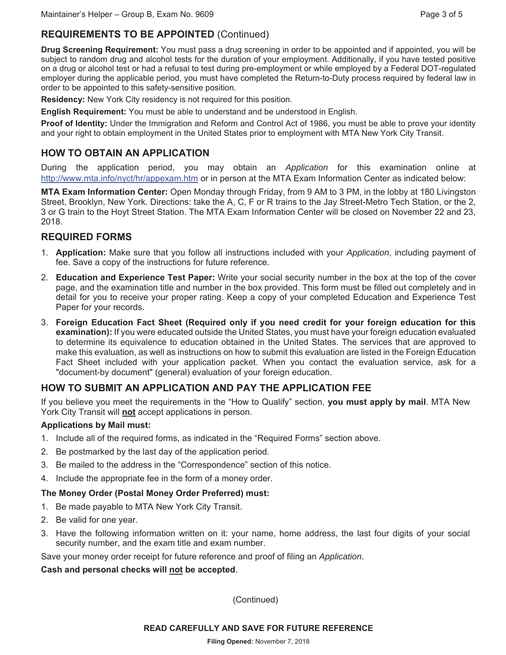# **REQUIREMENTS TO BE APPOINTED** (Continued)

**Drug Screening Requirement:** You must pass a drug screening in order to be appointed and if appointed, you will be subject to random drug and alcohol tests for the duration of your employment. Additionally, if you have tested positive on a drug or alcohol test or had a refusal to test during pre-employment or while employed by a Federal DOT-regulated employer during the applicable period, you must have completed the Return-to-Duty process required by federal law in order to be appointed to this safety-sensitive position.

**Residency:** New York City residency is not required for this position.

**English Requirement:** You must be able to understand and be understood in English.

**Proof of Identity:** Under the Immigration and Reform and Control Act of 1986, you must be able to prove your identity and your right to obtain employment in the United States prior to employment with MTA New York City Transit.

# **HOW TO OBTAIN AN APPLICATION**

During the application period, you may obtain an *Application* for this examination online at http://www.mta.info/nyct/hr/appexam.htm or in person at the MTA Exam Information Center as indicated below:

**MTA Exam Information Center:** Open Monday through Friday, from 9 AM to 3 PM, in the lobby at 180 Livingston Street, Brooklyn, New York. Directions: take the A, C, F or R trains to the Jay Street-Metro Tech Station, or the 2, 3 or G train to the Hoyt Street Station. The MTA Exam Information Center will be closed on November 22 and 23, 2018.

# **REQUIRED FORMS**

- 1. **Application:** Make sure that you follow all instructions included with your *Application*, including payment of fee. Save a copy of the instructions for future reference.
- 2. **Education and Experience Test Paper:** Write your social security number in the box at the top of the cover page, and the examination title and number in the box provided. This form must be filled out completely and in detail for you to receive your proper rating. Keep a copy of your completed Education and Experience Test Paper for your records.
- 3. **Foreign Education Fact Sheet (Required only if you need credit for your foreign education for this examination):** If you were educated outside the United States, you must have your foreign education evaluated to determine its equivalence to education obtained in the United States. The services that are approved to make this evaluation, as well as instructions on how to submit this evaluation are listed in the Foreign Education Fact Sheet included with your application packet. When you contact the evaluation service, ask for a "document-by document" (general) evaluation of your foreign education.

# **HOW TO SUBMIT AN APPLICATION AND PAY THE APPLICATION FEE**

If you believe you meet the requirements in the "How to Qualify" section, **you must apply by mail**. MTA New York City Transit will **not** accept applications in person.

#### **Applications by Mail must:**

- 1. Include all of the required forms, as indicated in the "Required Forms" section above.
- 2. Be postmarked by the last day of the application period.
- 3. Be mailed to the address in the "Correspondence" section of this notice.
- 4. Include the appropriate fee in the form of a money order.

#### **The Money Order (Postal Money Order Preferred) must:**

- 1. Be made payable to MTA New York City Transit.
- 2. Be valid for one year.
- 3. Have the following information written on it: your name, home address, the last four digits of your social security number, and the exam title and exam number.

Save your money order receipt for future reference and proof of filing an *Application*.

#### **Cash and personal checks will not be accepted**.

(Continued)

#### **READ CAREFULLY AND SAVE FOR FUTURE REFERENCE**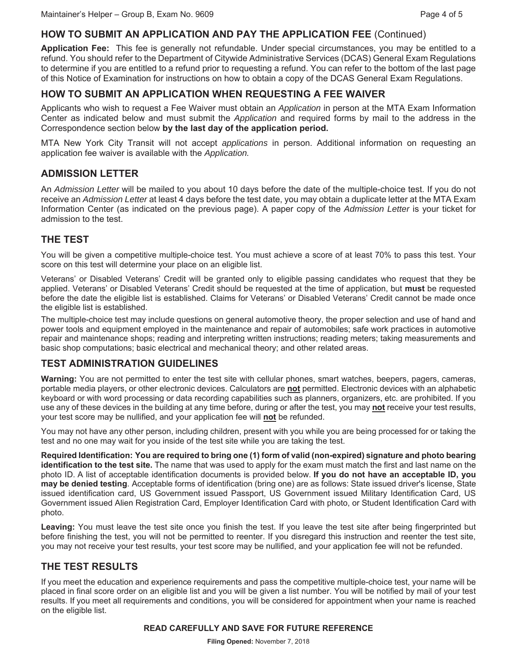# **HOW TO SUBMIT AN APPLICATION AND PAY THE APPLICATION FEE** (Continued)

**Application Fee:** This fee is generally not refundable. Under special circumstances, you may be entitled to a refund. You should refer to the Department of Citywide Administrative Services (DCAS) General Exam Regulations to determine if you are entitled to a refund prior to requesting a refund. You can refer to the bottom of the last page of this Notice of Examination for instructions on how to obtain a copy of the DCAS General Exam Regulations.

# **HOW TO SUBMIT AN APPLICATION WHEN REQUESTING A FEE WAIVER**

Applicants who wish to request a Fee Waiver must obtain an *Application* in person at the MTA Exam Information Center as indicated below and must submit the *Application* and required forms by mail to the address in the Correspondence section below **by the last day of the application period.**

MTA New York City Transit will not accept *applications* in person. Additional information on requesting an application fee waiver is available with the *Application.* 

# **ADMISSION LETTER**

An *Admission Letter* will be mailed to you about 10 days before the date of the multiple-choice test. If you do not receive an *Admission Letter* at least 4 days before the test date, you may obtain a duplicate letter at the MTA Exam Information Center (as indicated on the previous page). A paper copy of the *Admission Letter* is your ticket for admission to the test.

# **THE TEST**

You will be given a competitive multiple-choice test. You must achieve a score of at least 70% to pass this test. Your score on this test will determine your place on an eligible list.

Veterans' or Disabled Veterans' Credit will be granted only to eligible passing candidates who request that they be applied. Veterans' or Disabled Veterans' Credit should be requested at the time of application, but **must** be requested before the date the eligible list is established. Claims for Veterans' or Disabled Veterans' Credit cannot be made once the eligible list is established.

The multiple-choice test may include questions on general automotive theory, the proper selection and use of hand and power tools and equipment employed in the maintenance and repair of automobiles; safe work practices in automotive repair and maintenance shops; reading and interpreting written instructions; reading meters; taking measurements and basic shop computations; basic electrical and mechanical theory; and other related areas.

# **TEST ADMINISTRATION GUIDELINES**

**Warning:** You are not permitted to enter the test site with cellular phones, smart watches, beepers, pagers, cameras, portable media players, or other electronic devices. Calculators are **not** permitted. Electronic devices with an alphabetic keyboard or with word processing or data recording capabilities such as planners, organizers, etc. are prohibited. If you use any of these devices in the building at any time before, during or after the test, you may **not** receive your test results, your test score may be nullified, and your application fee will **not** be refunded.

You may not have any other person, including children, present with you while you are being processed for or taking the test and no one may wait for you inside of the test site while you are taking the test.

**Required Identification: You are required to bring one (1) form of valid (non-expired) signature and photo bearing identification to the test site.** The name that was used to apply for the exam must match the first and last name on the photo ID. A list of acceptable identification documents is provided below. **If you do not have an acceptable ID, you may be denied testing**. Acceptable forms of identification (bring one) are as follows: State issued driver's license, State issued identification card, US Government issued Passport, US Government issued Military Identification Card, US Government issued Alien Registration Card, Employer Identification Card with photo, or Student Identification Card with photo.

**Leaving:** You must leave the test site once you finish the test. If you leave the test site after being fingerprinted but before finishing the test, you will not be permitted to reenter. If you disregard this instruction and reenter the test site, you may not receive your test results, your test score may be nullified, and your application fee will not be refunded.

# **THE TEST RESULTS**

If you meet the education and experience requirements and pass the competitive multiple-choice test, your name will be placed in final score order on an eligible list and you will be given a list number. You will be notified by mail of your test results. If you meet all requirements and conditions, you will be considered for appointment when your name is reached on the eligible list.

#### **READ CAREFULLY AND SAVE FOR FUTURE REFERENCE**